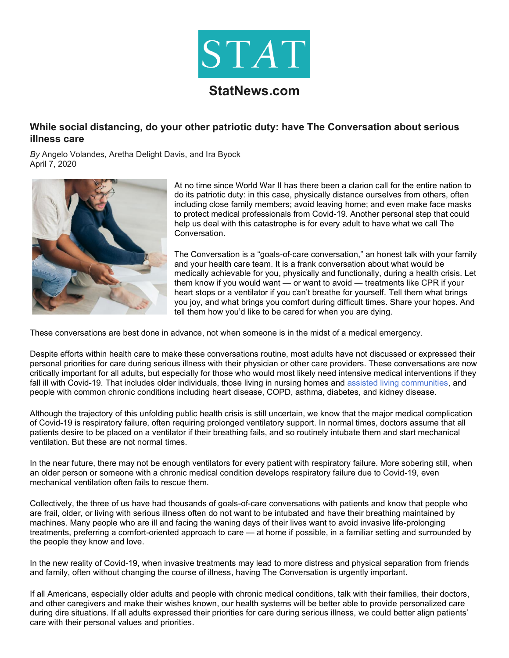

## **StatNews.com**

## **While social distancing, do your other patriotic duty: have The Conversation about serious illness care**

*By* Angelo Volandes, Aretha Delight Davis, and Ira Byock April 7, 2020



At no time since World War II has there been a clarion call for the entire nation to do its patriotic duty: in this case, physically distance ourselves from others, often including close family members; avoid leaving home; and even make face masks to protect medical professionals from Covid-19. Another personal step that could help us deal with this catastrophe is for every adult to have what we call The Conversation.

The Conversation is a "goals-of-care conversation," an honest talk with your family and your health care team. It is a frank conversation about what would be medically achievable for you, physically and functionally, during a health crisis. Let them know if you would want  $-$  or want to avoid  $-$  treatments like CPR if your heart stops or a ventilator if you can't breathe for yourself. Tell them what brings you joy, and what brings you comfort during difficult times. Share your hopes. And tell them how you'd like to be cared for when you are dying.

These conversations are best done in advance, not when someone is in the midst of a medical emergency.

Despite efforts within health care to make these conversations routine, most adults have not discussed or expressed their personal priorities for care during serious illness with their physician or other care providers. These conversations are now critically important for all adults, but especially for those who would most likely need intensive medical interventions if they fall ill with Covid-19. That includes older individuals, those living in nursing homes and assisted living communities, and people with common chronic conditions including heart disease, COPD, asthma, diabetes, and kidney disease.

Although the trajectory of this unfolding public health crisis is still uncertain, we know that the major medical complication of Covid-19 is respiratory failure, often requiring prolonged ventilatory support. In normal times, doctors assume that all patients desire to be placed on a ventilator if their breathing fails, and so routinely intubate them and start mechanical ventilation. But these are not normal times.

In the near future, there may not be enough ventilators for every patient with respiratory failure. More sobering still, when an older person or someone with a chronic medical condition develops respiratory failure due to Covid-19, even mechanical ventilation often fails to rescue them.

Collectively, the three of us have had thousands of goals-of-care conversations with patients and know that people who are frail, older, or living with serious illness often do not want to be intubated and have their breathing maintained by machines. Many people who are ill and facing the waning days of their lives want to avoid invasive life-prolonging treatments, preferring a comfort-oriented approach to care — at home if possible, in a familiar setting and surrounded by the people they know and love.

In the new reality of Covid-19, when invasive treatments may lead to more distress and physical separation from friends and family, often without changing the course of illness, having The Conversation is urgently important.

If all Americans, especially older adults and people with chronic medical conditions, talk with their families, their doctors, and other caregivers and make their wishes known, our health systems will be better able to provide personalized care during dire situations. If all adults expressed their priorities for care during serious illness, we could better align patients' care with their personal values and priorities.